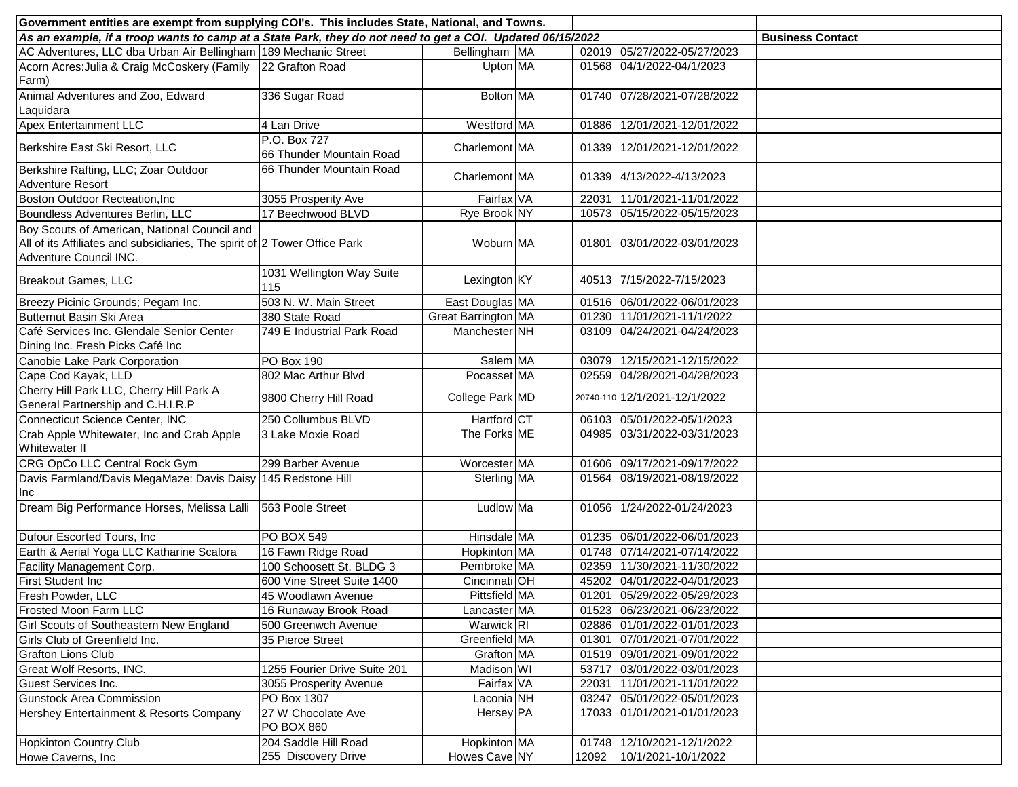| Government entities are exempt from supplying COI's. This includes State, National, and Towns.                                                      |                                          |                       |  |                         |                               |  |  |  |
|-----------------------------------------------------------------------------------------------------------------------------------------------------|------------------------------------------|-----------------------|--|-------------------------|-------------------------------|--|--|--|
| As an example, if a troop wants to camp at a State Park, they do not need to get a COI. Updated 06/15/2022                                          |                                          |                       |  | <b>Business Contact</b> |                               |  |  |  |
| AC Adventures, LLC dba Urban Air Bellingham 189 Mechanic Street                                                                                     |                                          | Bellingham MA         |  | 02019                   | 05/27/2022-05/27/2023         |  |  |  |
| Acorn Acres: Julia & Craig McCoskery (Family 22 Grafton Road<br>Farm)                                                                               |                                          | Upton MA              |  |                         | 01568 04/1/2022-04/1/2023     |  |  |  |
| Animal Adventures and Zoo, Edward<br>Laquidara                                                                                                      | 336 Sugar Road                           | Bolton MA             |  |                         | 01740 07/28/2021-07/28/2022   |  |  |  |
| <b>Apex Entertainment LLC</b>                                                                                                                       | 4 Lan Drive                              | Westford MA           |  | 01886                   | 12/01/2021-12/01/2022         |  |  |  |
| Berkshire East Ski Resort, LLC                                                                                                                      | P.O. Box 727<br>66 Thunder Mountain Road | Charlemont MA         |  |                         | 01339 12/01/2021-12/01/2022   |  |  |  |
| Berkshire Rafting, LLC; Zoar Outdoor<br>Adventure Resort                                                                                            | 66 Thunder Mountain Road                 | Charlemont MA         |  |                         | 01339 4/13/2022-4/13/2023     |  |  |  |
| Boston Outdoor Recteation, Inc                                                                                                                      | 3055 Prosperity Ave                      | Fairfax VA            |  | 22031                   | 11/01/2021-11/01/2022         |  |  |  |
| Boundless Adventures Berlin, LLC                                                                                                                    | 17 Beechwood BLVD                        | Rye Brook NY          |  | 10573                   | 05/15/2022-05/15/2023         |  |  |  |
| Boy Scouts of American, National Council and<br>All of its Affiliates and subsidiaries, The spirit of 2 Tower Office Park<br>Adventure Council INC. |                                          | Woburn MA             |  |                         | 01801 03/01/2022-03/01/2023   |  |  |  |
| Breakout Games, LLC                                                                                                                                 | 1031 Wellington Way Suite<br>115         | Lexington KY          |  |                         | 40513 7/15/2022-7/15/2023     |  |  |  |
| Breezy Picinic Grounds; Pegam Inc.                                                                                                                  | 503 N. W. Main Street                    | East Douglas MA       |  |                         | 01516 06/01/2022-06/01/2023   |  |  |  |
| Butternut Basin Ski Area                                                                                                                            | 380 State Road                           | Great Barrington MA   |  |                         | 01230 11/01/2021-11/1/2022    |  |  |  |
| Café Services Inc. Glendale Senior Center<br>Dining Inc. Fresh Picks Café Inc                                                                       | 749 E Industrial Park Road               | Manchester NH         |  |                         | 03109 04/24/2021-04/24/2023   |  |  |  |
| Canobie Lake Park Corporation                                                                                                                       | PO Box 190                               | Salem MA              |  | 03079                   | 12/15/2021-12/15/2022         |  |  |  |
| Cape Cod Kayak, LLD                                                                                                                                 | 802 Mac Arthur Blvd                      | Pocasset MA           |  |                         | 02559 04/28/2021-04/28/2023   |  |  |  |
| Cherry Hill Park LLC, Cherry Hill Park A<br>General Partnership and C.H.I.R.P                                                                       | 9800 Cherry Hill Road                    | College Park MD       |  |                         | 20740-110 12/1/2021-12/1/2022 |  |  |  |
| Connecticut Science Center, INC                                                                                                                     | 250 Collumbus BLVD                       | Hartford CT           |  |                         | 06103 05/01/2022-05/1/2023    |  |  |  |
| Crab Apple Whitewater, Inc and Crab Apple<br><b>Whitewater II</b>                                                                                   | 3 Lake Moxie Road                        | The Forks ME          |  | 04985                   | 03/31/2022-03/31/2023         |  |  |  |
| CRG OpCo LLC Central Rock Gym                                                                                                                       | 299 Barber Avenue                        | Worcester MA          |  | 01606                   | 09/17/2021-09/17/2022         |  |  |  |
| Davis Farmland/Davis MegaMaze: Davis Daisy<br>Inc                                                                                                   | 145 Redstone Hill                        | Sterling MA           |  | 01564                   | 08/19/2021-08/19/2022         |  |  |  |
| Dream Big Performance Horses, Melissa Lalli                                                                                                         | 563 Poole Street                         | Ludlow Ma             |  |                         | 01056 1/24/2022-01/24/2023    |  |  |  |
| Dufour Escorted Tours, Inc                                                                                                                          | PO BOX 549                               | Hinsdale MA           |  |                         | 01235 06/01/2022-06/01/2023   |  |  |  |
| Earth & Aerial Yoga LLC Katharine Scalora                                                                                                           | 16 Fawn Ridge Road                       | Hopkinton MA          |  |                         | 01748 07/14/2021-07/14/2022   |  |  |  |
| Facility Management Corp.                                                                                                                           | 100 Schoosett St. BLDG 3                 | Pembroke MA           |  | 02359                   | 11/30/2021-11/30/2022         |  |  |  |
| First Student Inc                                                                                                                                   | 600 Vine Street Suite 1400               | Cincinnati OH         |  |                         | 45202 04/01/2022-04/01/2023   |  |  |  |
| Fresh Powder, LLC                                                                                                                                   | 45 Woodlawn Avenue                       | Pittsfield MA         |  |                         | 01201 05/29/2022-05/29/2023   |  |  |  |
| Frosted Moon Farm LLC                                                                                                                               | 16 Runaway Brook Road                    | Lancaster MA          |  |                         | 01523 06/23/2021-06/23/2022   |  |  |  |
| Girl Scouts of Southeastern New England                                                                                                             | 500 Greenwch Avenue                      | Warwick RI            |  |                         | 02886 01/01/2022-01/01/2023   |  |  |  |
| Girls Club of Greenfield Inc.                                                                                                                       | 35 Pierce Street                         | Greenfield MA         |  |                         | 01301 07/01/2021-07/01/2022   |  |  |  |
| <b>Grafton Lions Club</b>                                                                                                                           |                                          | Grafton MA            |  |                         | 01519 09/01/2021-09/01/2022   |  |  |  |
| Great Wolf Resorts, INC.                                                                                                                            | 1255 Fourier Drive Suite 201             | Madison WI            |  |                         | 53717 03/01/2022-03/01/2023   |  |  |  |
| Guest Services Inc.                                                                                                                                 | 3055 Prosperity Avenue                   | Fairfax VA            |  | 22031                   | 11/01/2021-11/01/2022         |  |  |  |
| <b>Gunstock Area Commission</b>                                                                                                                     | PO Box 1307                              | Laconia <sup>NH</sup> |  | 03247                   | 05/01/2022-05/01/2023         |  |  |  |
| Hershey Entertainment & Resorts Company                                                                                                             | 27 W Chocolate Ave<br><b>PO BOX 860</b>  | Hersey <sup>IPA</sup> |  |                         | 17033 01/01/2021-01/01/2023   |  |  |  |
| Hopkinton Country Club                                                                                                                              | 204 Saddle Hill Road                     | Hopkinton MA          |  |                         | 01748 12/10/2021-12/1/2022    |  |  |  |
| Howe Caverns, Inc.                                                                                                                                  | 255 Discovery Drive                      | Howes Cave NY         |  | 12092                   | 10/1/2021-10/1/2022           |  |  |  |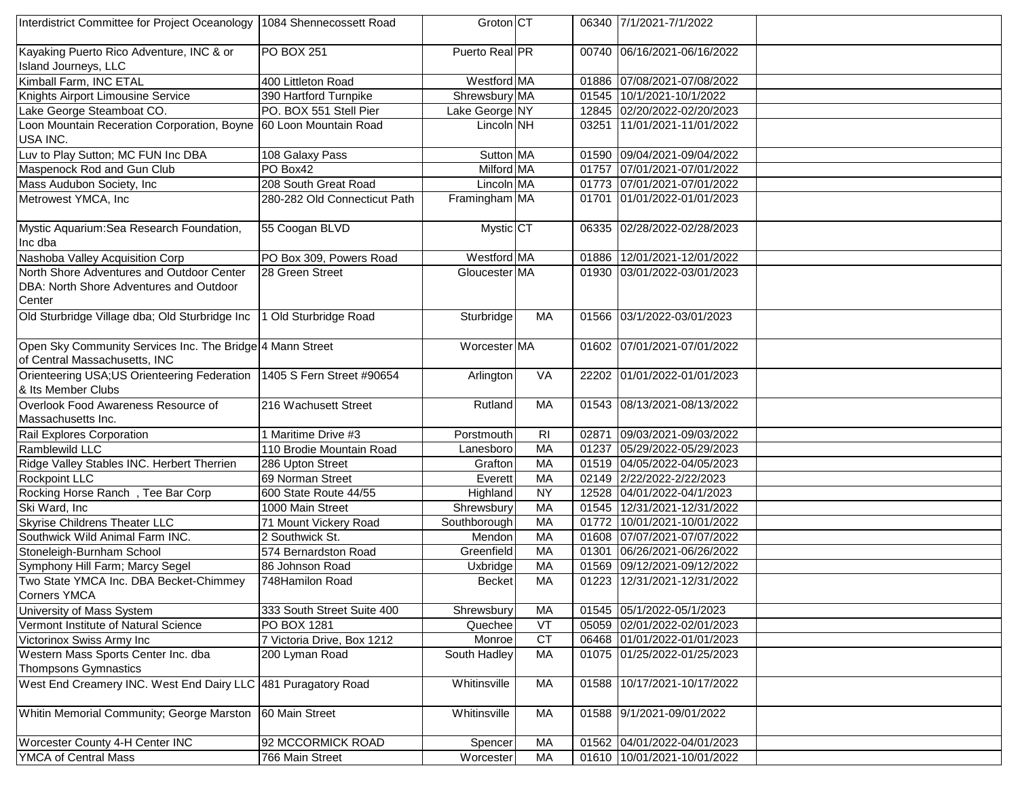| Interdistrict Committee for Project Oceanology                                             | 1084 Shennecossett Road      | Groton CT      |                |       | 06340 7/1/2021-7/1/2022     |  |
|--------------------------------------------------------------------------------------------|------------------------------|----------------|----------------|-------|-----------------------------|--|
| Kayaking Puerto Rico Adventure, INC & or                                                   | <b>PO BOX 251</b>            | Puerto Real PR |                |       | 00740 06/16/2021-06/16/2022 |  |
| Island Journeys, LLC                                                                       |                              |                |                |       |                             |  |
| Kimball Farm, INC ETAL                                                                     | 400 Littleton Road           | Westford MA    |                |       | 01886 07/08/2021-07/08/2022 |  |
| Knights Airport Limousine Service                                                          | 390 Hartford Turnpike        | Shrewsbury MA  |                | 01545 | 10/1/2021-10/1/2022         |  |
| Lake George Steamboat CO.                                                                  | PO. BOX 551 Stell Pier       | Lake George NY |                | 12845 | 02/20/2022-02/20/2023       |  |
| Loon Mountain Receration Corporation, Boyne 60 Loon Mountain Road                          |                              | $Lincoln$ NH   |                | 03251 | 11/01/2021-11/01/2022       |  |
| USA INC.                                                                                   |                              |                |                |       |                             |  |
| Luv to Play Sutton; MC FUN Inc DBA                                                         | 108 Galaxy Pass              | Sutton MA      |                |       | 01590 09/04/2021-09/04/2022 |  |
| Maspenock Rod and Gun Club                                                                 | PO Box42                     | Milford MA     |                | 01757 | 07/01/2021-07/01/2022       |  |
| Mass Audubon Society, Inc                                                                  | 208 South Great Road         | Lincoln MA     |                |       | 01773 07/01/2021-07/01/2022 |  |
| Metrowest YMCA, Inc                                                                        | 280-282 Old Connecticut Path | Framingham MA  |                | 01701 | 01/01/2022-01/01/2023       |  |
| Mystic Aquarium: Sea Research Foundation,                                                  | 55 Coogan BLVD               | Mystic CT      |                |       | 06335 02/28/2022-02/28/2023 |  |
| Inc dba                                                                                    |                              |                |                |       |                             |  |
| Nashoba Valley Acquisition Corp                                                            | PO Box 309, Powers Road      | Westford MA    |                | 01886 | 12/01/2021-12/01/2022       |  |
| North Shore Adventures and Outdoor Center                                                  | 28 Green Street              | Gloucester MA  |                |       | 01930 03/01/2022-03/01/2023 |  |
| DBA: North Shore Adventures and Outdoor                                                    |                              |                |                |       |                             |  |
| Center                                                                                     |                              |                |                |       |                             |  |
| Old Sturbridge Village dba; Old Sturbridge Inc                                             | 1 Old Sturbridge Road        | Sturbridge     | MA             |       | 01566 03/1/2022-03/01/2023  |  |
| Open Sky Community Services Inc. The Bridge 4 Mann Street<br>of Central Massachusetts, INC |                              | Worcester MA   |                |       | 01602 07/01/2021-07/01/2022 |  |
| Orienteering USA;US Orienteering Federation<br>& Its Member Clubs                          | 1405 S Fern Street #90654    | Arlington      | VA             |       | 22202 01/01/2022-01/01/2023 |  |
| Overlook Food Awareness Resource of                                                        | 216 Wachusett Street         | Rutland        | MA             |       | 01543 08/13/2021-08/13/2022 |  |
| Massachusetts Inc.                                                                         |                              |                |                |       |                             |  |
| Rail Explores Corporation                                                                  | 1 Maritime Drive #3          | Porstmouth     | R <sub>l</sub> | 02871 | 09/03/2021-09/03/2022       |  |
| Ramblewild LLC                                                                             | 110 Brodie Mountain Road     | Lanesboro      | MA             | 01237 | 05/29/2022-05/29/2023       |  |
| Ridge Valley Stables INC. Herbert Therrien                                                 | 286 Upton Street             | Grafton        | MA             | 01519 | 04/05/2022-04/05/2023       |  |
| Rockpoint LLC                                                                              | 69 Norman Street             | Everett        | <b>MA</b>      | 02149 | 2/22/2022-2/22/2023         |  |
| Rocking Horse Ranch, Tee Bar Corp                                                          | 600 State Route 44/55        | Highland       | <b>NY</b>      | 12528 | 04/01/2022-04/1/2023        |  |
| Ski Ward, Inc                                                                              | 1000 Main Street             | Shrewsbury     | MA             | 01545 | 12/31/2021-12/31/2022       |  |
| <b>Skyrise Childrens Theater LLC</b>                                                       | 71 Mount Vickery Road        | Southborough   | MA             | 01772 | 10/01/2021-10/01/2022       |  |
| Southwick Wild Animal Farm INC.                                                            | 2 Southwick St.              | Mendon         | MA             | 01608 | 07/07/2021-07/07/2022       |  |
| Stoneleigh-Burnham School                                                                  | 574 Bernardston Road         | Greenfield     | <b>MA</b>      | 01301 | 06/26/2021-06/26/2022       |  |
| Symphony Hill Farm; Marcy Segel                                                            | 86 Johnson Road              | Uxbridge       | <b>MA</b>      | 01569 | 09/12/2021-09/12/2022       |  |
| Two State YMCA Inc. DBA Becket-Chimmey<br><b>Corners YMCA</b>                              | 748Hamilon Road              | <b>Becket</b>  | MA             | 01223 | 12/31/2021-12/31/2022       |  |
| University of Mass System                                                                  | 333 South Street Suite 400   | Shrewsbury     | MA             | 01545 | 05/1/2022-05/1/2023         |  |
| Vermont Institute of Natural Science                                                       | PO BOX 1281                  | Quechee        | VT             | 05059 | 02/01/2022-02/01/2023       |  |
| Victorinox Swiss Army Inc                                                                  | 7 Victoria Drive, Box 1212   | Monroe         | <b>CT</b>      |       | 06468 01/01/2022-01/01/2023 |  |
| Western Mass Sports Center Inc. dba                                                        | 200 Lyman Road               | South Hadley   | МA             |       | 01075 01/25/2022-01/25/2023 |  |
| <b>Thompsons Gymnastics</b>                                                                |                              |                |                |       |                             |  |
| West End Creamery INC. West End Dairy LLC 481 Puragatory Road                              |                              | Whitinsville   | MA             | 01588 | 10/17/2021-10/17/2022       |  |
| Whitin Memorial Community; George Marston                                                  | 60 Main Street               | Whitinsville   | MA             |       | 01588 9/1/2021-09/01/2022   |  |
| Worcester County 4-H Center INC                                                            | 92 MCCORMICK ROAD            | Spencer        | МA             |       | 01562 04/01/2022-04/01/2023 |  |
| YMCA of Central Mass                                                                       | 766 Main Street              | Worcester      | MA             |       | 01610 10/01/2021-10/01/2022 |  |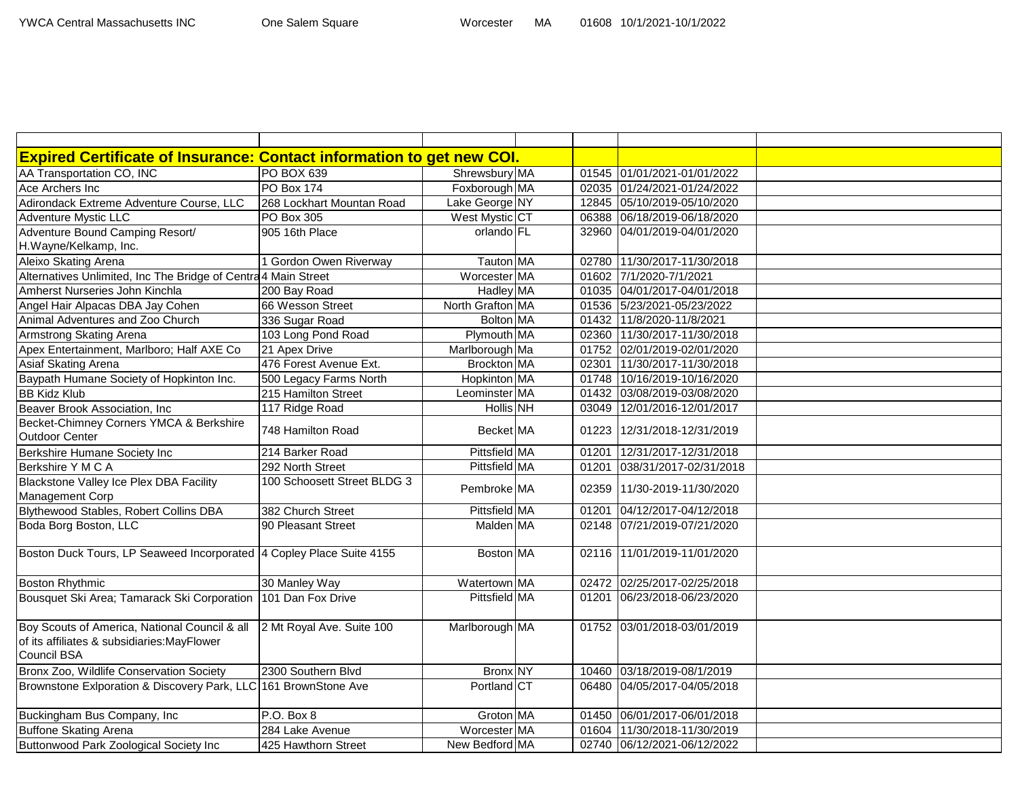| <b>Expired Certificate of Insurance: Contact information to get new COI.</b> |                             |                      |       |                             |  |
|------------------------------------------------------------------------------|-----------------------------|----------------------|-------|-----------------------------|--|
| AA Transportation CO, INC                                                    | PO BOX 639                  | Shrewsbury MA        |       | 01545 01/01/2021-01/01/2022 |  |
| Ace Archers Inc                                                              | <b>PO Box 174</b>           | Foxborough MA        |       | 02035 01/24/2021-01/24/2022 |  |
| Adirondack Extreme Adventure Course, LLC                                     | 268 Lockhart Mountan Road   | Lake George NY       |       | 12845 05/10/2019-05/10/2020 |  |
| <b>Adventure Mystic LLC</b>                                                  | <b>PO Box 305</b>           | West Mystic CT       |       | 06388 06/18/2019-06/18/2020 |  |
| Adventure Bound Camping Resort/                                              | 905 16th Place              | orlando FL           |       | 32960 04/01/2019-04/01/2020 |  |
| H.Wayne/Kelkamp, Inc.                                                        |                             |                      |       |                             |  |
| Aleixo Skating Arena                                                         | 1 Gordon Owen Riverway      | Tauton MA            |       | 02780 11/30/2017-11/30/2018 |  |
| Alternatives Unlimited, Inc The Bridge of Centra 4 Main Street               |                             | Worcester MA         |       | 01602 7/1/2020-7/1/2021     |  |
| Amherst Nurseries John Kinchla                                               | 200 Bay Road                | Hadley MA            |       | 01035 04/01/2017-04/01/2018 |  |
| Angel Hair Alpacas DBA Jay Cohen                                             | 66 Wesson Street            | North Grafton MA     |       | 01536 5/23/2021-05/23/2022  |  |
| Animal Adventures and Zoo Church                                             | 336 Sugar Road              | Bolton MA            |       | 01432 11/8/2020-11/8/2021   |  |
| Armstrong Skating Arena                                                      | 103 Long Pond Road          | Plymouth MA          | 02360 | 11/30/2017-11/30/2018       |  |
| Apex Entertainment, Marlboro; Half AXE Co                                    | 21 Apex Drive               | Marlborough Ma       |       | 01752 02/01/2019-02/01/2020 |  |
| Asiaf Skating Arena                                                          | 476 Forest Avenue Ext.      | Brockton MA          | 02301 | 11/30/2017-11/30/2018       |  |
| Baypath Humane Society of Hopkinton Inc.                                     | 500 Legacy Farms North      | Hopkinton MA         |       | 01748 10/16/2019-10/16/2020 |  |
| <b>BB Kidz Klub</b>                                                          | 215 Hamilton Street         | Leominster MA        |       | 01432 03/08/2019-03/08/2020 |  |
| Beaver Brook Association, Inc                                                | 117 Ridge Road              | <b>Hollis</b> NH     | 03049 | 12/01/2016-12/01/2017       |  |
| Becket-Chimney Corners YMCA & Berkshire                                      | 748 Hamilton Road           | <b>Becket</b> MA     |       | 01223 12/31/2018-12/31/2019 |  |
| Outdoor Center                                                               |                             |                      |       |                             |  |
| Berkshire Humane Society Inc                                                 | 214 Barker Road             | Pittsfield MA        | 01201 | 12/31/2017-12/31/2018       |  |
| Berkshire Y M C A                                                            | 292 North Street            | <b>Pittsfield MA</b> | 01201 | 038/31/2017-02/31/2018      |  |
| Blackstone Valley Ice Plex DBA Facility                                      | 100 Schoosett Street BLDG 3 | Pembroke MA          |       | 02359 11/30-2019-11/30/2020 |  |
| Management Corp                                                              |                             |                      |       |                             |  |
| Blythewood Stables, Robert Collins DBA                                       | 382 Church Street           | Pittsfield MA        | 01201 | 04/12/2017-04/12/2018       |  |
| Boda Borg Boston, LLC                                                        | 90 Pleasant Street          | Malden MA            |       | 02148 07/21/2019-07/21/2020 |  |
|                                                                              |                             |                      |       |                             |  |
| Boston Duck Tours, LP Seaweed Incorporated 4 Copley Place Suite 4155         |                             | Boston MA            |       | 02116 11/01/2019-11/01/2020 |  |
|                                                                              |                             |                      |       |                             |  |
| <b>Boston Rhythmic</b>                                                       | 30 Manley Way               | Watertown MA         |       | 02472 02/25/2017-02/25/2018 |  |
| Bousquet Ski Area; Tamarack Ski Corporation                                  | 101 Dan Fox Drive           | Pittsfield MA        |       | 01201 06/23/2018-06/23/2020 |  |
|                                                                              |                             |                      |       |                             |  |
| Boy Scouts of America, National Council & all                                | 2 Mt Royal Ave. Suite 100   | Marlborough MA       |       | 01752 03/01/2018-03/01/2019 |  |
| of its affiliates & subsidiaries: MayFlower                                  |                             |                      |       |                             |  |
| Council BSA                                                                  |                             |                      |       |                             |  |
| Bronx Zoo, Wildlife Conservation Society                                     | 2300 Southern Blvd          | Bronx NY             | 10460 | 03/18/2019-08/1/2019        |  |
| Brownstone Exlporation & Discovery Park, LLC 161 BrownStone Ave              |                             | Portland CT          | 06480 | 04/05/2017-04/05/2018       |  |
| Buckingham Bus Company, Inc                                                  | P.O. Box 8                  | Groton MA            |       | 01450 06/01/2017-06/01/2018 |  |
| Buffone Skating Arena                                                        | 284 Lake Avenue             | Worcester MA         | 01604 | 11/30/2018-11/30/2019       |  |
| Buttonwood Park Zoological Society Inc                                       | 425 Hawthorn Street         | New Bedford MA       |       | 02740 06/12/2021-06/12/2022 |  |
|                                                                              |                             |                      |       |                             |  |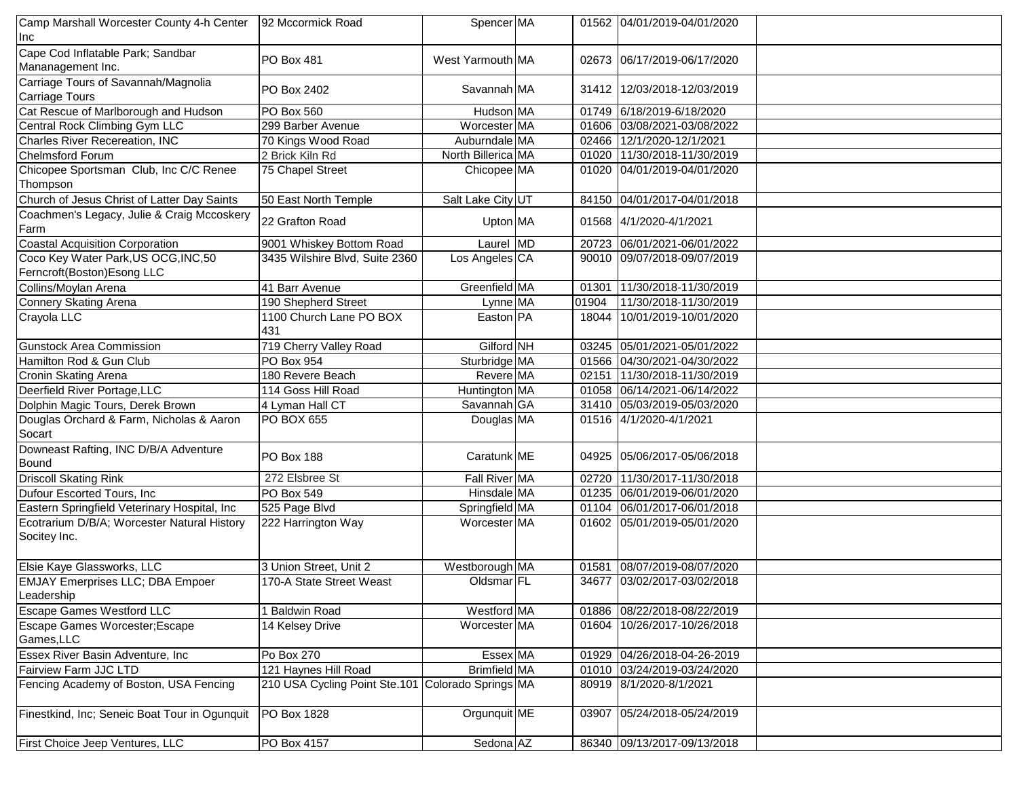| Camp Marshall Worcester County 4-h Center                   | 92 Mccormick Road                                 | Spencer MA         |       | 01562 04/01/2019-04/01/2020 |  |
|-------------------------------------------------------------|---------------------------------------------------|--------------------|-------|-----------------------------|--|
| Inc                                                         |                                                   |                    |       |                             |  |
| Cape Cod Inflatable Park; Sandbar                           | PO Box 481                                        | West Yarmouth MA   |       | 02673 06/17/2019-06/17/2020 |  |
| Mananagement Inc.                                           |                                                   |                    |       |                             |  |
| Carriage Tours of Savannah/Magnolia<br>Carriage Tours       | PO Box 2402                                       | Savannah MA        |       | 31412 12/03/2018-12/03/2019 |  |
| Cat Rescue of Marlborough and Hudson                        | PO Box 560                                        | Hudson MA          |       | 01749 6/18/2019-6/18/2020   |  |
| Central Rock Climbing Gym LLC                               | 299 Barber Avenue                                 | Worcester MA       |       | 01606 03/08/2021-03/08/2022 |  |
| Charles River Recereation, INC                              | 70 Kings Wood Road                                | Auburndale MA      |       | 02466 12/1/2020-12/1/2021   |  |
| <b>Chelmsford Forum</b>                                     | 2 Brick Kiln Rd                                   | North Billerica MA |       | 01020 11/30/2018-11/30/2019 |  |
| Chicopee Sportsman Club, Inc C/C Renee<br>Thompson          | 75 Chapel Street                                  | Chicopee MA        |       | 01020 04/01/2019-04/01/2020 |  |
| Church of Jesus Christ of Latter Day Saints                 | 50 East North Temple                              | Salt Lake City UT  | 84150 | 04/01/2017-04/01/2018       |  |
| Coachmen's Legacy, Julie & Craig Mccoskery<br>Farm          | 22 Grafton Road                                   | Upton MA           |       | 01568 4/1/2020-4/1/2021     |  |
| <b>Coastal Acquisition Corporation</b>                      | 9001 Whiskey Bottom Road                          | Laurel MD          |       | 20723 06/01/2021-06/01/2022 |  |
| Coco Key Water Park, US OCG, INC, 50                        | 3435 Wilshire Blvd, Suite 2360                    | Los Angeles CA     |       | 90010 09/07/2018-09/07/2019 |  |
| Ferncroft(Boston)Esong LLC                                  |                                                   |                    |       |                             |  |
| Collins/Moylan Arena                                        | 41 Barr Avenue                                    | Greenfield MA      | 01301 | 11/30/2018-11/30/2019       |  |
| Connery Skating Arena                                       | 190 Shepherd Street                               | Lynne MA           | 01904 | 11/30/2018-11/30/2019       |  |
| Crayola LLC                                                 | 1100 Church Lane PO BOX                           | Easton PA          | 18044 | 10/01/2019-10/01/2020       |  |
|                                                             | 431                                               |                    |       |                             |  |
| <b>Gunstock Area Commission</b>                             | 719 Cherry Valley Road                            | Gilford NH         |       | 03245 05/01/2021-05/01/2022 |  |
| Hamilton Rod & Gun Club                                     | <b>PO Box 954</b>                                 | Sturbridge MA      |       | 01566 04/30/2021-04/30/2022 |  |
| Cronin Skating Arena                                        | 180 Revere Beach                                  | Revere MA          |       | 02151 11/30/2018-11/30/2019 |  |
| Deerfield River Portage, LLC                                | 114 Goss Hill Road                                | Huntington MA      |       | 01058 06/14/2021-06/14/2022 |  |
| Dolphin Magic Tours, Derek Brown                            | 4 Lyman Hall CT                                   | Savannah GA        |       | 31410 05/03/2019-05/03/2020 |  |
| Douglas Orchard & Farm, Nicholas & Aaron<br>Socart          | <b>PO BOX 655</b>                                 | Douglas MA         |       | 01516 4/1/2020-4/1/2021     |  |
| Downeast Rafting, INC D/B/A Adventure<br>Bound              | <b>PO Box 188</b>                                 | Caratunk ME        | 04925 | 05/06/2017-05/06/2018       |  |
| <b>Driscoll Skating Rink</b>                                | 272 Elsbree St                                    | Fall River MA      | 02720 | 11/30/2017-11/30/2018       |  |
| Dufour Escorted Tours, Inc.                                 | PO Box 549                                        | Hinsdale MA        | 01235 | 06/01/2019-06/01/2020       |  |
| Eastern Springfield Veterinary Hospital, Inc                | 525 Page Blvd                                     | Springfield MA     | 01104 | 06/01/2017-06/01/2018       |  |
| Ecotrarium D/B/A; Worcester Natural History<br>Socitey Inc. | 222 Harrington Way                                | Worcester MA       |       | 01602 05/01/2019-05/01/2020 |  |
| Elsie Kaye Glassworks, LLC                                  | 3 Union Street, Unit 2                            | Westborough MA     | 01581 | 08/07/2019-08/07/2020       |  |
| <b>EMJAY Emerprises LLC; DBA Empoer</b><br>Leadership       | 170-A State Street Weast                          | Oldsmar FL         | 34677 | 03/02/2017-03/02/2018       |  |
| <b>Escape Games Westford LLC</b>                            | 1 Baldwin Road                                    | Westford MA        |       | 01886 08/22/2018-08/22/2019 |  |
| Escape Games Worcester; Escape<br>Games, LLC                | 14 Kelsey Drive                                   | Worcester MA       |       | 01604 10/26/2017-10/26/2018 |  |
| Essex River Basin Adventure, Inc                            | Po Box 270                                        | Essex MA           |       | 01929 04/26/2018-04-26-2019 |  |
| Fairview Farm JJC LTD                                       | 121 Haynes Hill Road                              | Brimfield MA       |       | 01010 03/24/2019-03/24/2020 |  |
| Fencing Academy of Boston, USA Fencing                      | 210 USA Cycling Point Ste.101 Colorado Springs MA |                    |       | 80919 8/1/2020-8/1/2021     |  |
| Finestkind, Inc; Seneic Boat Tour in Ogunquit               | PO Box 1828                                       | Orgunquit ME       | 03907 | 05/24/2018-05/24/2019       |  |
| First Choice Jeep Ventures, LLC                             | PO Box 4157                                       | Sedona AZ          |       | 86340 09/13/2017-09/13/2018 |  |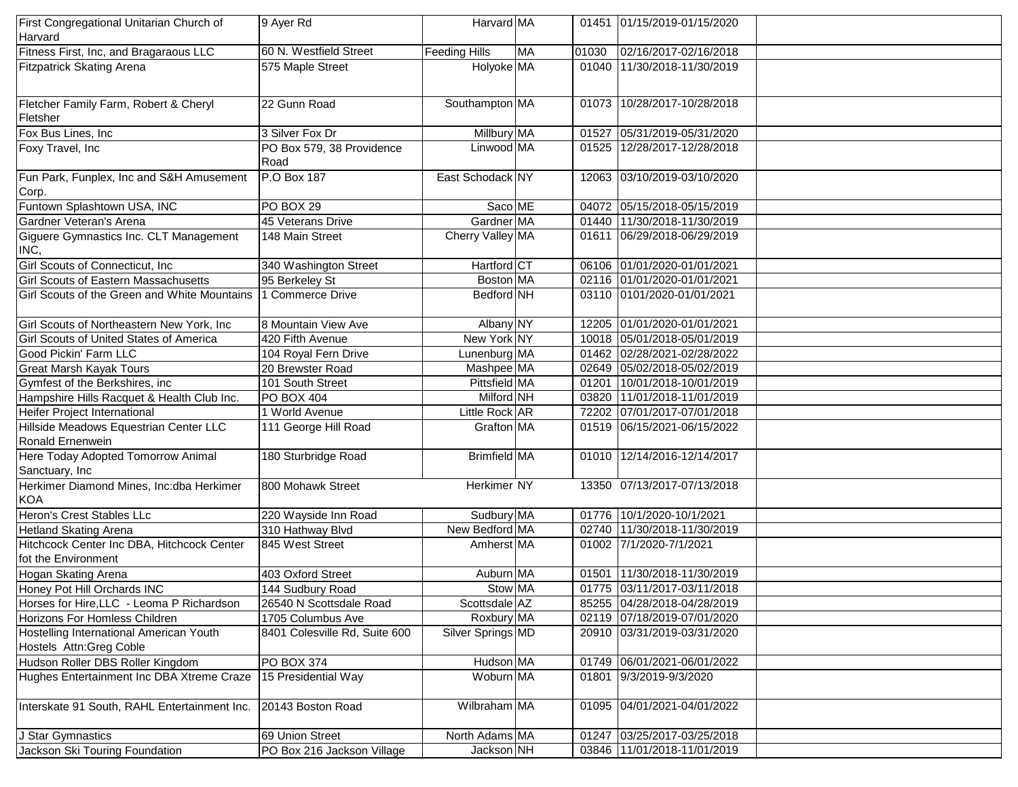| First Congregational Unitarian Church of     | 9 Ayer Rd                         | Harvard MA          |           |       | 01451 01/15/2019-01/15/2020 |  |
|----------------------------------------------|-----------------------------------|---------------------|-----------|-------|-----------------------------|--|
| Harvard                                      |                                   |                     |           |       |                             |  |
| Fitness First, Inc, and Bragaraous LLC       | 60 N. Westfield Street            | Feeding Hills       | <b>MA</b> | 01030 | 02/16/2017-02/16/2018       |  |
| Fitzpatrick Skating Arena                    | 575 Maple Street                  | Holyoke MA          |           |       | 01040 11/30/2018-11/30/2019 |  |
|                                              |                                   |                     |           |       |                             |  |
|                                              |                                   |                     |           |       |                             |  |
| Fletcher Family Farm, Robert & Cheryl        | 22 Gunn Road                      | Southampton MA      |           |       | 01073 10/28/2017-10/28/2018 |  |
| Fletsher                                     |                                   |                     |           |       |                             |  |
| Fox Bus Lines, Inc                           | 3 Silver Fox Dr                   | Millbury MA         |           |       | 01527 05/31/2019-05/31/2020 |  |
| Foxy Travel, Inc                             | PO Box 579, 38 Providence<br>Road | Linwood MA          |           |       | 01525 12/28/2017-12/28/2018 |  |
| Fun Park, Funplex, Inc and S&H Amusement     | P.O Box 187                       | East Schodack NY    |           |       | 12063 03/10/2019-03/10/2020 |  |
| Corp.                                        |                                   |                     |           |       |                             |  |
| Funtown Splashtown USA, INC                  | PO BOX 29                         | Saco ME             |           |       | 04072 05/15/2018-05/15/2019 |  |
| Gardner Veteran's Arena                      | 45 Veterans Drive                 | Gardner MA          |           |       | 01440 11/30/2018-11/30/2019 |  |
| Giguere Gymnastics Inc. CLT Management       | 148 Main Street                   | Cherry Valley MA    |           |       | 01611 06/29/2018-06/29/2019 |  |
| INC,                                         |                                   |                     |           |       |                             |  |
| Girl Scouts of Connecticut, Inc              | 340 Washington Street             | Hartford CT         |           |       | 06106 01/01/2020-01/01/2021 |  |
| <b>Girl Scouts of Eastern Massachusetts</b>  | 95 Berkeley St                    | Boston MA           |           |       | 02116 01/01/2020-01/01/2021 |  |
| Girl Scouts of the Green and White Mountains | 1 Commerce Drive                  | Bedford NH          |           |       | 03110 0101/2020-01/01/2021  |  |
|                                              |                                   |                     |           |       |                             |  |
| Girl Scouts of Northeastern New York, Inc    | 8 Mountain View Ave               | Albany NY           |           |       | 12205 01/01/2020-01/01/2021 |  |
| Girl Scouts of United States of America      | 420 Fifth Avenue                  | New York NY         |           |       | 10018 05/01/2018-05/01/2019 |  |
| Good Pickin' Farm LLC                        | 104 Royal Fern Drive              | Lunenburg MA        |           |       | 01462 02/28/2021-02/28/2022 |  |
| <b>Great Marsh Kayak Tours</b>               | 20 Brewster Road                  | Mashpee MA          |           |       | 02649 05/02/2018-05/02/2019 |  |
| Gymfest of the Berkshires, inc               | 101 South Street                  | Pittsfield MA       |           | 01201 | 10/01/2018-10/01/2019       |  |
| Hampshire Hills Racquet & Health Club Inc.   | PO BOX 404                        | Milford NH          |           |       | 03820 11/01/2018-11/01/2019 |  |
| Heifer Project International                 | 1 World Avenue                    | Little Rock AR      |           |       | 72202 07/01/2017-07/01/2018 |  |
| Hillside Meadows Equestrian Center LLC       | 111 George Hill Road              | Grafton MA          |           |       | 01519 06/15/2021-06/15/2022 |  |
| Ronald Ernenwein                             |                                   |                     |           |       |                             |  |
| Here Today Adopted Tomorrow Animal           | 180 Sturbridge Road               | <b>Brimfield MA</b> |           |       | 01010 12/14/2016-12/14/2017 |  |
| Sanctuary, Inc                               |                                   |                     |           |       |                             |  |
| Herkimer Diamond Mines, Inc:dba Herkimer     | 800 Mohawk Street                 | Herkimer NY         |           |       | 13350 07/13/2017-07/13/2018 |  |
| <b>KOA</b>                                   |                                   |                     |           |       |                             |  |
| Heron's Crest Stables LLc                    | 220 Wayside Inn Road              | Sudbury MA          |           |       | 01776 10/1/2020-10/1/2021   |  |
| <b>Hetland Skating Arena</b>                 | 310 Hathway Blvd                  | New Bedford MA      |           |       | 02740 11/30/2018-11/30/2019 |  |
| Hitchcock Center Inc DBA, Hitchcock Center   | 845 West Street                   | Amherst MA          |           |       | 01002 7/1/2020-7/1/2021     |  |
| fot the Environment                          |                                   |                     |           |       |                             |  |
| Hogan Skating Arena                          | 403 Oxford Street                 | Auburn MA           |           |       | 01501 11/30/2018-11/30/2019 |  |
| Honey Pot Hill Orchards INC                  | 144 Sudbury Road                  | Stow MA             |           |       | 01775 03/11/2017-03/11/2018 |  |
| Horses for Hire, LLC - Leoma P Richardson    | 26540 N Scottsdale Road           | Scottsdale AZ       |           |       | 85255 04/28/2018-04/28/2019 |  |
| Horizons For Homless Children                | 1705 Columbus Ave                 | Roxbury MA          |           |       | 02119 07/18/2019-07/01/2020 |  |
| Hostelling International American Youth      | 8401 Colesville Rd, Suite 600     | Silver Springs MD   |           |       | 20910 03/31/2019-03/31/2020 |  |
| Hostels Attn: Greg Coble                     |                                   |                     |           |       |                             |  |
| Hudson Roller DBS Roller Kingdom             | PO BOX 374                        | Hudson MA           |           |       | 01749 06/01/2021-06/01/2022 |  |
| Hughes Entertainment Inc DBA Xtreme Craze    | 15 Presidential Way               | Woburn MA           |           | 01801 | 9/3/2019-9/3/2020           |  |
|                                              |                                   |                     |           |       |                             |  |
| Interskate 91 South, RAHL Entertainment Inc. | 20143 Boston Road                 | Wilbraham MA        |           | 01095 | 04/01/2021-04/01/2022       |  |
|                                              |                                   |                     |           |       |                             |  |
| J Star Gymnastics                            | 69 Union Street                   | North Adams MA      |           |       | 01247 03/25/2017-03/25/2018 |  |
| Jackson Ski Touring Foundation               | PO Box 216 Jackson Village        | Jackson NH          |           |       | 03846 11/01/2018-11/01/2019 |  |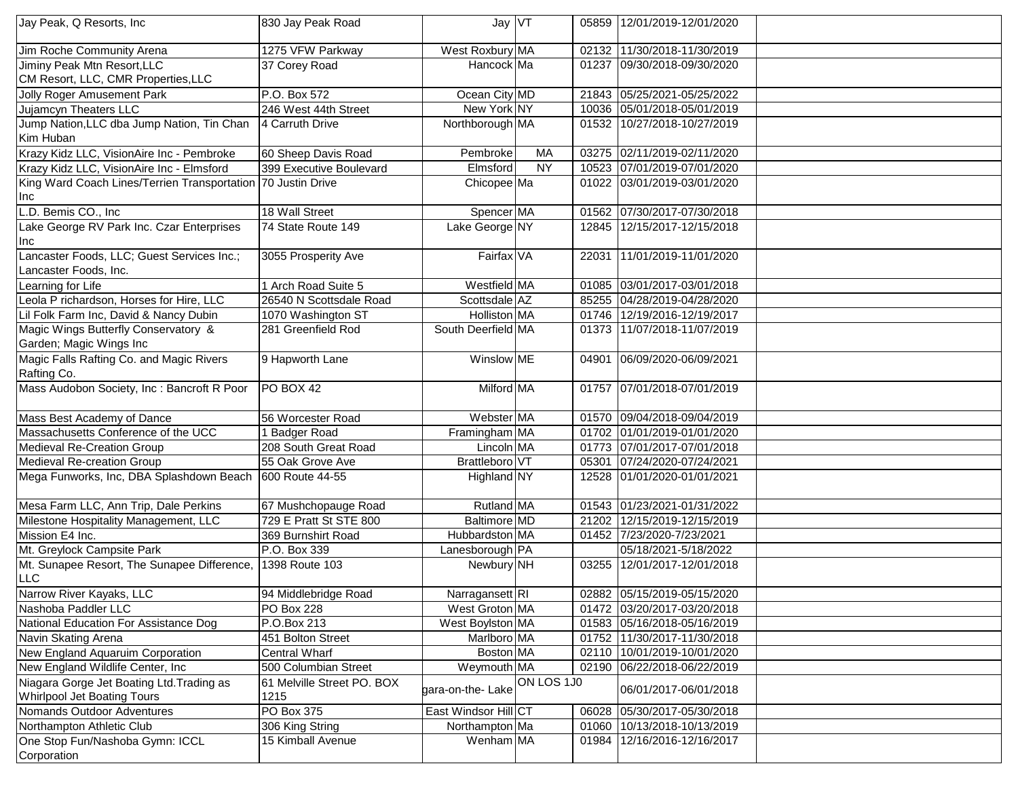| Jay Peak, Q Resorts, Inc                                     | 830 Jay Peak Road          | Jay $\sqrt{T}$       |            |       | 05859 12/01/2019-12/01/2020 |  |
|--------------------------------------------------------------|----------------------------|----------------------|------------|-------|-----------------------------|--|
| Jim Roche Community Arena                                    | 1275 VFW Parkway           | West Roxbury MA      |            |       | 02132 11/30/2018-11/30/2019 |  |
| Jiminy Peak Mtn Resort, LLC                                  | 37 Corey Road              | Hancock Ma           |            |       | 01237 09/30/2018-09/30/2020 |  |
| CM Resort, LLC, CMR Properties, LLC                          |                            |                      |            |       |                             |  |
| Jolly Roger Amusement Park                                   | P.O. Box 572               | Ocean City MD        |            |       | 21843 05/25/2021-05/25/2022 |  |
| <b>Jujamcyn Theaters LLC</b>                                 | 246 West 44th Street       | New York NY          |            |       | 10036 05/01/2018-05/01/2019 |  |
| Jump Nation, LLC dba Jump Nation, Tin Chan                   | 4 Carruth Drive            | Northborough MA      |            |       | 01532 10/27/2018-10/27/2019 |  |
| Kim Huban                                                    |                            |                      |            |       |                             |  |
| Krazy Kidz LLC, VisionAire Inc - Pembroke                    | 60 Sheep Davis Road        | Pembroke             | <b>MA</b>  |       | 03275 02/11/2019-02/11/2020 |  |
| Krazy Kidz LLC, VisionAire Inc - Elmsford                    | 399 Executive Boulevard    | Elmsford             | <b>NY</b>  |       | 10523 07/01/2019-07/01/2020 |  |
| King Ward Coach Lines/Terrien Transportation 70 Justin Drive |                            | Chicopee Ma          |            |       | 01022 03/01/2019-03/01/2020 |  |
| Inc                                                          |                            |                      |            |       |                             |  |
| L.D. Bemis CO., Inc                                          | 18 Wall Street             | Spencer MA           |            |       | 01562 07/30/2017-07/30/2018 |  |
| Lake George RV Park Inc. Czar Enterprises                    | 74 State Route 149         | Lake George NY       |            | 12845 | 12/15/2017-12/15/2018       |  |
| Inc                                                          |                            |                      |            |       |                             |  |
| Lancaster Foods, LLC; Guest Services Inc.;                   | 3055 Prosperity Ave        | Fairfax VA           |            | 22031 | 11/01/2019-11/01/2020       |  |
| Lancaster Foods, Inc.                                        |                            |                      |            |       |                             |  |
| Learning for Life                                            | 1 Arch Road Suite 5        | Westfield MA         |            |       | 01085 03/01/2017-03/01/2018 |  |
| Leola P richardson, Horses for Hire, LLC                     | 26540 N Scottsdale Road    | Scottsdale AZ        |            |       | 85255 04/28/2019-04/28/2020 |  |
| Lil Folk Farm Inc, David & Nancy Dubin                       | 1070 Washington ST         | Holliston MA         |            |       | 01746 12/19/2016-12/19/2017 |  |
| Magic Wings Butterfly Conservatory &                         | 281 Greenfield Rod         | South Deerfield MA   |            |       | 01373 11/07/2018-11/07/2019 |  |
| Garden; Magic Wings Inc                                      |                            |                      |            |       |                             |  |
| Magic Falls Rafting Co. and Magic Rivers                     | 9 Hapworth Lane            | Winslow ME           |            | 04901 | 06/09/2020-06/09/2021       |  |
| Rafting Co.                                                  |                            |                      |            |       |                             |  |
| Mass Audobon Society, Inc : Bancroft R Poor                  | PO BOX 42                  | Milford MA           |            |       | 01757 07/01/2018-07/01/2019 |  |
|                                                              |                            |                      |            |       |                             |  |
| Mass Best Academy of Dance                                   | 56 Worcester Road          | Webster MA           |            |       | 01570 09/04/2018-09/04/2019 |  |
| Massachusetts Conference of the UCC                          | <b>Badger Road</b>         | Framingham MA        |            |       | 01702 01/01/2019-01/01/2020 |  |
| Medieval Re-Creation Group                                   | 208 South Great Road       | Lincoln MA           |            |       | 01773 07/01/2017-07/01/2018 |  |
| Medieval Re-creation Group                                   | 55 Oak Grove Ave           | Brattleboro VT       |            |       | 05301 07/24/2020-07/24/2021 |  |
| Mega Funworks, Inc, DBA Splashdown Beach                     | 600 Route 44-55            | Highland NY          |            |       | 12528 01/01/2020-01/01/2021 |  |
| Mesa Farm LLC, Ann Trip, Dale Perkins                        | 67 Mushchopauge Road       | Rutland MA           |            |       | 01543 01/23/2021-01/31/2022 |  |
| Milestone Hospitality Management, LLC                        | 729 E Pratt St STE 800     | <b>Baltimore</b> MD  |            | 21202 | 12/15/2019-12/15/2019       |  |
| Mission E4 Inc.                                              | 369 Burnshirt Road         | Hubbardston MA       |            |       | 01452 7/23/2020-7/23/2021   |  |
| Mt. Greylock Campsite Park                                   | P.O. Box 339               | Lanesborough PA      |            |       | 05/18/2021-5/18/2022        |  |
| Mt. Sunapee Resort, The Sunapee Difference,                  | 1398 Route 103             | Newbury NH           |            | 03255 | 12/01/2017-12/01/2018       |  |
| LLC                                                          |                            |                      |            |       |                             |  |
| Narrow River Kayaks, LLC                                     | 94 Middlebridge Road       | Narragansett RI      |            |       | 02882 05/15/2019-05/15/2020 |  |
| Nashoba Paddler LLC                                          | PO Box 228                 | West Groton MA       |            |       | 01472 03/20/2017-03/20/2018 |  |
| National Education For Assistance Dog                        | P.O.Box 213                | West Boylston MA     |            |       | 01583 05/16/2018-05/16/2019 |  |
| Navin Skating Arena                                          | 451 Bolton Street          | Marlboro MA          |            |       | 01752 11/30/2017-11/30/2018 |  |
| New England Aquaruim Corporation                             | Central Wharf              | Boston MA            |            | 02110 | 10/01/2019-10/01/2020       |  |
| New England Wildlife Center, Inc.                            | 500 Columbian Street       | Weymouth MA          |            | 02190 | 06/22/2018-06/22/2019       |  |
| Niagara Gorge Jet Boating Ltd. Trading as                    | 61 Melville Street PO. BOX |                      | ON LOS 1J0 |       |                             |  |
| <b>Whirlpool Jet Boating Tours</b>                           | 1215                       | gara-on-the-Lake     |            |       | 06/01/2017-06/01/2018       |  |
| Nomands Outdoor Adventures                                   | PO Box 375                 | East Windsor Hill CT |            | 06028 | 05/30/2017-05/30/2018       |  |
| Northampton Athletic Club                                    | 306 King String            | Northampton Ma       |            |       | 01060 10/13/2018-10/13/2019 |  |
| One Stop Fun/Nashoba Gymn: ICCL                              | 15 Kimball Avenue          | Wenham MA            |            | 01984 | 12/16/2016-12/16/2017       |  |
| Corporation                                                  |                            |                      |            |       |                             |  |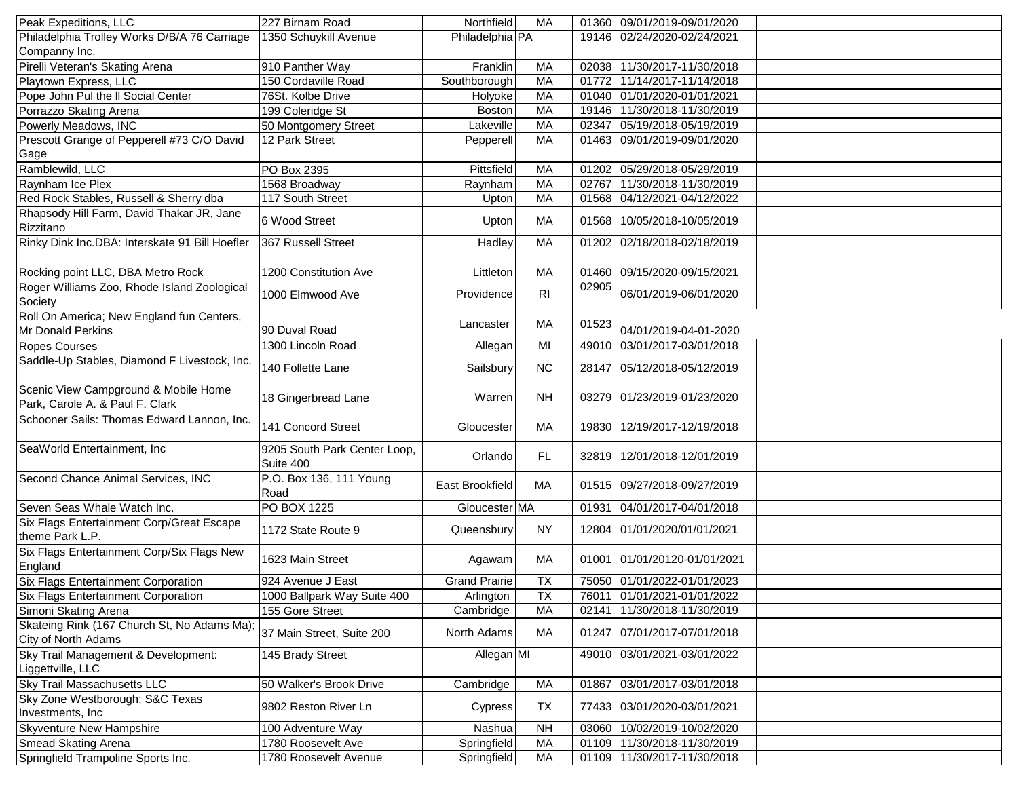| Peak Expeditions, LLC                          | 227 Birnam Road              | <b>Northfield</b>    | <b>MA</b>      |       | 01360 09/01/2019-09/01/2020  |  |
|------------------------------------------------|------------------------------|----------------------|----------------|-------|------------------------------|--|
| Philadelphia Trolley Works D/B/A 76 Carriage   | 1350 Schuykill Avenue        | Philadelphia PA      |                |       | 19146 02/24/2020-02/24/2021  |  |
| Companny Inc.                                  |                              |                      |                |       |                              |  |
| Pirelli Veteran's Skating Arena                | 910 Panther Way              | Franklin             | <b>MA</b>      | 02038 | 11/30/2017-11/30/2018        |  |
| Playtown Express, LLC                          | 150 Cordaville Road          | Southborough         | <b>MA</b>      | 01772 | 11/14/2017-11/14/2018        |  |
| Pope John Pul the II Social Center             | 76St. Kolbe Drive            | Holyoke              | MA             |       | 01040 01/01/2020-01/01/2021  |  |
| Porrazzo Skating Arena                         | 199 Coleridge St             | Boston               | <b>MA</b>      |       | 19146 11/30/2018-11/30/2019  |  |
| Powerly Meadows, INC                           | 50 Montgomery Street         | Lakeville            | <b>MA</b>      | 02347 | 05/19/2018-05/19/2019        |  |
| Prescott Grange of Pepperell #73 C/O David     | 12 Park Street               | Pepperell            | <b>MA</b>      | 01463 | 09/01/2019-09/01/2020        |  |
| Gage                                           |                              |                      |                |       |                              |  |
| Ramblewild, LLC                                | PO Box 2395                  | Pittsfield           | <b>MA</b>      |       | 01202 05/29/2018-05/29/2019  |  |
| Raynham Ice Plex                               | 1568 Broadway                | Raynham              | <b>MA</b>      | 02767 | 11/30/2018-11/30/2019        |  |
| Red Rock Stables, Russell & Sherry dba         | 117 South Street             | Upton                | <b>MA</b>      | 01568 | 04/12/2021-04/12/2022        |  |
| Rhapsody Hill Farm, David Thakar JR, Jane      |                              |                      |                |       |                              |  |
| Rizzitano                                      | 6 Wood Street                | Upton                | МA             |       | 01568 10/05/2018-10/05/2019  |  |
|                                                |                              |                      |                |       |                              |  |
| Rinky Dink Inc.DBA: Interskate 91 Bill Hoefler | 367 Russell Street           | Hadley               | <b>MA</b>      |       | 01202 02/18/2018-02/18/2019  |  |
|                                                |                              |                      |                |       |                              |  |
| Rocking point LLC, DBA Metro Rock              | 1200 Constitution Ave        | Littleton            | МA             | 01460 | 09/15/2020-09/15/2021        |  |
| Roger Williams Zoo, Rhode Island Zoological    | 1000 Elmwood Ave             | Providence           | R <sub>l</sub> | 02905 | 06/01/2019-06/01/2020        |  |
| Society                                        |                              |                      |                |       |                              |  |
| Roll On America; New England fun Centers,      |                              | Lancaster            | MA             | 01523 |                              |  |
| Mr Donald Perkins                              | 90 Duval Road                |                      |                |       | 04/01/2019-04-01-2020        |  |
| <b>Ropes Courses</b>                           | 1300 Lincoln Road            | Allegan              | MI             | 49010 | 03/01/2017-03/01/2018        |  |
| Saddle-Up Stables, Diamond F Livestock, Inc.   | 140 Follette Lane            | Sailsbury            | <b>NC</b>      |       | 28147 05/12/2018-05/12/2019  |  |
|                                                |                              |                      |                |       |                              |  |
| Scenic View Campground & Mobile Home           | 18 Gingerbread Lane          | Warren               | <b>NH</b>      |       | 03279 01/23/2019-01/23/2020  |  |
| Park, Carole A. & Paul F. Clark                |                              |                      |                |       |                              |  |
| Schooner Sails: Thomas Edward Lannon, Inc.     | 141 Concord Street           |                      |                |       |                              |  |
|                                                |                              | Gloucester           | МA             | 19830 | 12/19/2017-12/19/2018        |  |
| SeaWorld Entertainment, Inc                    | 9205 South Park Center Loop, |                      |                |       |                              |  |
|                                                | Suite 400                    | Orlando              | FL.            |       | 32819 12/01/2018-12/01/2019  |  |
| Second Chance Animal Services, INC             | P.O. Box 136, 111 Young      |                      |                |       |                              |  |
|                                                | Road                         | East Brookfield      | MA             |       | 01515 09/27/2018-09/27/2019  |  |
| Seven Seas Whale Watch Inc.                    | PO BOX 1225                  | Gloucester MA        |                | 01931 | 04/01/2017-04/01/2018        |  |
| Six Flags Entertainment Corp/Great Escape      |                              |                      |                |       |                              |  |
| theme Park L.P.                                | 1172 State Route 9           | Queensbury           | <b>NY</b>      |       | 12804 01/01/2020/01/01/2021  |  |
| Six Flags Entertainment Corp/Six Flags New     |                              |                      |                |       |                              |  |
| England                                        | 1623 Main Street             | Agawam               | МA             |       | 01001 01/01/20120-01/01/2021 |  |
| Six Flags Entertainment Corporation            | 924 Avenue J East            | <b>Grand Prairie</b> | <b>TX</b>      |       | 75050 01/01/2022-01/01/2023  |  |
| Six Flags Entertainment Corporation            | 1000 Ballpark Way Suite 400  | Arlington            | ТX             |       | 76011 01/01/2021-01/01/2022  |  |
| Simoni Skating Arena                           | 155 Gore Street              | Cambridge            | MA             | 02141 | 11/30/2018-11/30/2019        |  |
| Skateing Rink (167 Church St, No Adams Ma);    |                              |                      |                |       |                              |  |
| City of North Adams                            | 37 Main Street, Suite 200    | North Adams          | МA             |       | 01247 07/01/2017-07/01/2018  |  |
| Sky Trail Management & Development:            |                              |                      |                |       |                              |  |
|                                                | 145 Brady Street             | Allegan MI           |                |       | 49010 03/01/2021-03/01/2022  |  |
| Liggettville, LLC                              |                              |                      |                |       |                              |  |
| Sky Trail Massachusetts LLC                    | 50 Walker's Brook Drive      | Cambridge            | MA             | 01867 | 03/01/2017-03/01/2018        |  |
| Sky Zone Westborough; S&C Texas                | 9802 Reston River Ln         | Cypress              | TX             |       | 77433 03/01/2020-03/01/2021  |  |
| Investments, Inc.                              |                              |                      |                |       |                              |  |
| <b>Skyventure New Hampshire</b>                | 100 Adventure Way            | Nashua               | NH             | 03060 | 10/02/2019-10/02/2020        |  |
| Smead Skating Arena                            | 1780 Roosevelt Ave           | Springfield          | MA             |       | 01109 11/30/2018-11/30/2019  |  |
| Springfield Trampoline Sports Inc.             | 1780 Roosevelt Avenue        | Springfield          | MA             |       | 01109 11/30/2017-11/30/2018  |  |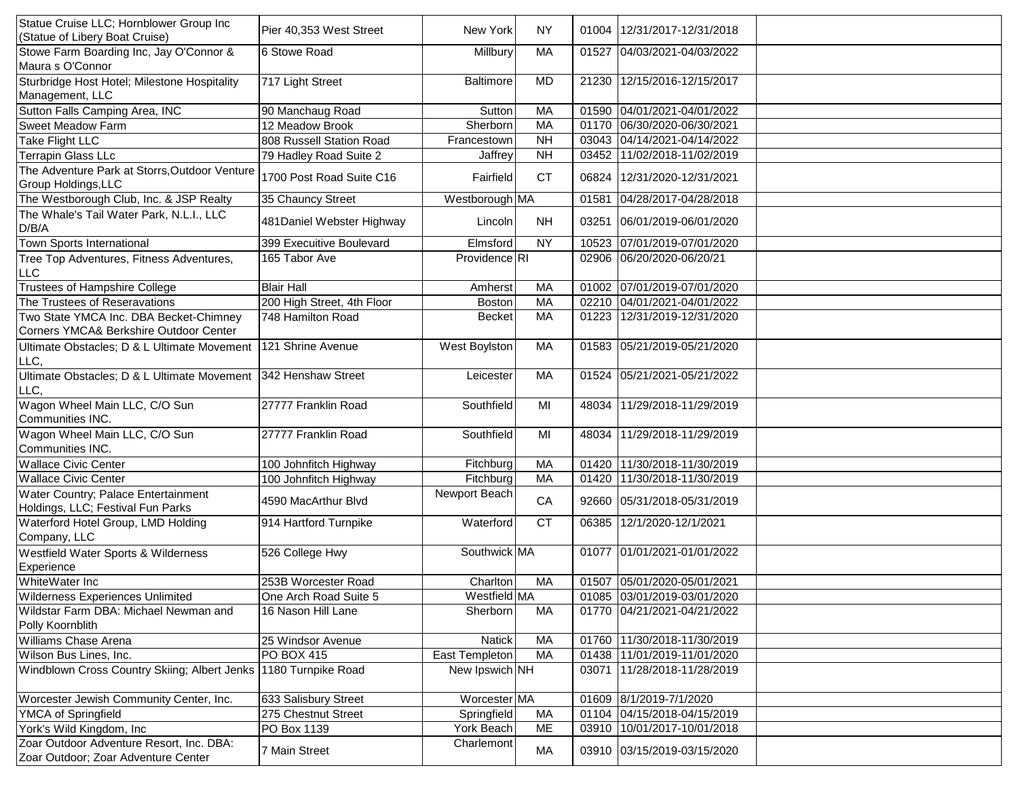| Statue Cruise LLC; Hornblower Group Inc<br>(Statue of Libery Boat Cruise)        | Pier 40,353 West Street    | New York         | <b>NY</b> |       | 01004   12/31/2017-12/31/2018 |  |
|----------------------------------------------------------------------------------|----------------------------|------------------|-----------|-------|-------------------------------|--|
| Stowe Farm Boarding Inc, Jay O'Connor &<br>Maura s O'Connor                      | 6 Stowe Road               | Millbury         | MA        | 01527 | 04/03/2021-04/03/2022         |  |
| Sturbridge Host Hotel; Milestone Hospitality<br>Management, LLC                  | 717 Light Street           | <b>Baltimore</b> | <b>MD</b> |       | 21230 12/15/2016-12/15/2017   |  |
| Sutton Falls Camping Area, INC                                                   | 90 Manchaug Road           | Sutton           | MA        |       | 01590 04/01/2021-04/01/2022   |  |
| <b>Sweet Meadow Farm</b>                                                         | 12 Meadow Brook            | Sherborn         | MA        | 01170 | 06/30/2020-06/30/2021         |  |
| <b>Take Flight LLC</b>                                                           | 808 Russell Station Road   | Francestown      | <b>NH</b> | 03043 | 04/14/2021-04/14/2022         |  |
| Terrapin Glass LLc                                                               | 79 Hadley Road Suite 2     | Jaffrey          | <b>NH</b> | 03452 | 11/02/2018-11/02/2019         |  |
| The Adventure Park at Storrs, Outdoor Venture<br>Group Holdings, LLC             | 1700 Post Road Suite C16   | Fairfield        | <b>CT</b> | 06824 | 12/31/2020-12/31/2021         |  |
| The Westborough Club, Inc. & JSP Realty                                          | 35 Chauncy Street          | Westborough MA   |           | 01581 | 04/28/2017-04/28/2018         |  |
| The Whale's Tail Water Park, N.L.I., LLC<br>D/B/A                                | 481Daniel Webster Highway  | Lincoln          | <b>NH</b> |       | 03251 06/01/2019-06/01/2020   |  |
| Town Sports International                                                        | 399 Execuitive Boulevard   | Elmsford         | <b>NY</b> | 10523 | 07/01/2019-07/01/2020         |  |
| Tree Top Adventures, Fitness Adventures,                                         | 165 Tabor Ave              | Providence RI    |           |       | 02906 06/20/2020-06/20/21     |  |
| LLC                                                                              |                            |                  |           |       |                               |  |
| <b>Trustees of Hampshire College</b>                                             | <b>Blair Hall</b>          | Amherst          | MA        |       | 01002 07/01/2019-07/01/2020   |  |
| The Trustees of Reseravations                                                    | 200 High Street, 4th Floor | <b>Boston</b>    | <b>MA</b> |       | 02210 04/01/2021-04/01/2022   |  |
| Two State YMCA Inc. DBA Becket-Chimney<br>Corners YMCA& Berkshire Outdoor Center | 748 Hamilton Road          | <b>Becket</b>    | MA        | 01223 | 12/31/2019-12/31/2020         |  |
| Ultimate Obstacles; D & L Ultimate Movement<br>LLC,                              | 121 Shrine Avenue          | West Boylston    | МA        |       | 01583 05/21/2019-05/21/2020   |  |
| Ultimate Obstacles; D & L Ultimate Movement<br>LLC,                              | 342 Henshaw Street         | Leicester        | MA        |       | 01524 05/21/2021-05/21/2022   |  |
| Wagon Wheel Main LLC, C/O Sun<br>Communities INC.                                | 27777 Franklin Road        | Southfield       | MI        | 48034 | 11/29/2018-11/29/2019         |  |
| Wagon Wheel Main LLC, C/O Sun<br>Communities INC.                                | 27777 Franklin Road        | Southfield       | MI        | 48034 | 11/29/2018-11/29/2019         |  |
| <b>Wallace Civic Center</b>                                                      | 100 Johnfitch Highway      | Fitchburg        | MA        |       | 01420 11/30/2018-11/30/2019   |  |
| <b>Wallace Civic Center</b>                                                      | 100 Johnfitch Highway      | Fitchburg        | <b>MA</b> | 01420 | 11/30/2018-11/30/2019         |  |
| Water Country; Palace Entertainment<br>Holdings, LLC; Festival Fun Parks         | 4590 MacArthur Blvd        | Newport Beach    | CA        |       | 92660 05/31/2018-05/31/2019   |  |
| Waterford Hotel Group, LMD Holding<br>Company, LLC                               | 914 Hartford Turnpike      | Waterford        | <b>CT</b> | 06385 | 12/1/2020-12/1/2021           |  |
| Westfield Water Sports & Wilderness<br>Experience                                | 526 College Hwy            | Southwick MA     |           |       | 01077 01/01/2021-01/01/2022   |  |
| WhiteWater Inc                                                                   | 253B Worcester Road        | Charlton         | MA        |       | 01507 05/01/2020-05/01/2021   |  |
| Wilderness Experiences Unlimited                                                 | One Arch Road Suite 5      | Westfield MA     |           |       | 01085 03/01/2019-03/01/2020   |  |
| Wildstar Farm DBA: Michael Newman and<br>Polly Koornblith                        | 16 Nason Hill Lane         | Sherborn         | МA        |       | 01770 04/21/2021-04/21/2022   |  |
| <b>Williams Chase Arena</b>                                                      | 25 Windsor Avenue          | <b>Natick</b>    | MA        |       | 01760 11/30/2018-11/30/2019   |  |
| Wilson Bus Lines, Inc.                                                           | <b>PO BOX 415</b>          | East Templeton   | МA        |       | 01438 11/01/2019-11/01/2020   |  |
| Windblown Cross Country Skiing; Albert Jenks                                     | 1180 Turnpike Road         | New Ipswich NH   |           | 03071 | 11/28/2018-11/28/2019         |  |
| Worcester Jewish Community Center, Inc.                                          | 633 Salisbury Street       | Worcester MA     |           |       | 01609 8/1/2019-7/1/2020       |  |
| YMCA of Springfield                                                              | 275 Chestnut Street        | Springfield      | MA        |       | 01104 04/15/2018-04/15/2019   |  |
| York's Wild Kingdom, Inc                                                         | PO Box 1139                | York Beach       | ME        | 03910 | 10/01/2017-10/01/2018         |  |
| Zoar Outdoor Adventure Resort, Inc. DBA:<br>Zoar Outdoor; Zoar Adventure Center  | 7 Main Street              | Charlemont       | МA        |       | 03910 03/15/2019-03/15/2020   |  |